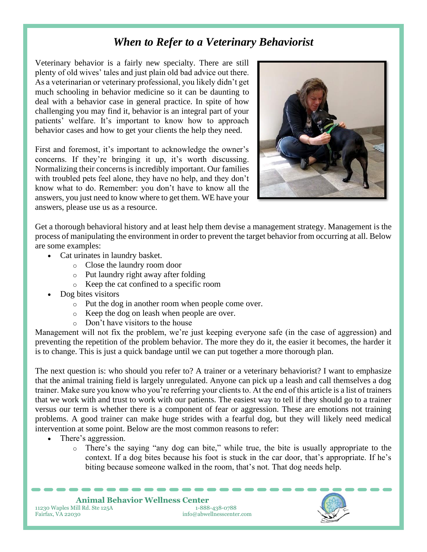## *When to Refer to a Veterinary Behaviorist*

Veterinary behavior is a fairly new specialty. There are still plenty of old wives' tales and just plain old bad advice out there. As a veterinarian or veterinary professional, you likely didn't get much schooling in behavior medicine so it can be daunting to deal with a behavior case in general practice. In spite of how challenging you may find it, behavior is an integral part of your patients' welfare. It's important to know how to approach behavior cases and how to get your clients the help they need.

First and foremost, it's important to acknowledge the owner's concerns. If they're bringing it up, it's worth discussing. Normalizing their concerns is incredibly important. Our families with troubled pets feel alone, they have no help, and they don't know what to do. Remember: you don't have to know all the answers, you just need to know where to get them. WE have your answers, please use us as a resource.



Get a thorough behavioral history and at least help them devise a management strategy. Management is the process of manipulating the environment in order to prevent the target behavior from occurring at all. Below are some examples:

- Cat urinates in laundry basket.
	- o Close the laundry room door
	- o Put laundry right away after folding
	- o Keep the cat confined to a specific room
- Dog bites visitors
	- o Put the dog in another room when people come over.
	- o Keep the dog on leash when people are over.
	- o Don't have visitors to the house

Management will not fix the problem, we're just keeping everyone safe (in the case of aggression) and preventing the repetition of the problem behavior. The more they do it, the easier it becomes, the harder it is to change. This is just a quick bandage until we can put together a more thorough plan.

The next question is: who should you refer to? A trainer or a veterinary behaviorist? I want to emphasize that the animal training field is largely unregulated. Anyone can pick up a leash and call themselves a dog trainer. Make sure you know who you're referring your clients to. At the end of this article is a list of trainers that we work with and trust to work with our patients. The easiest way to tell if they should go to a trainer versus our term is whether there is a component of fear or aggression. These are emotions not training problems. A good trainer can make huge strides with a fearful dog, but they will likely need medical intervention at some point. Below are the most common reasons to refer:

- There's aggression.
	- o There's the saying "any dog can bite," while true, the bite is usually appropriate to the context. If a dog bites because his foot is stuck in the car door, that's appropriate. If he's biting because someone walked in the room, that's not. That dog needs help.

**Animal Behavior Wellness Center**<br> **COMPTE 1388-438-0788** 11230 Waples Mill Rd. Ste 125A<br>Fairfax, VA 22030  $info@abwellnesscenter.com$